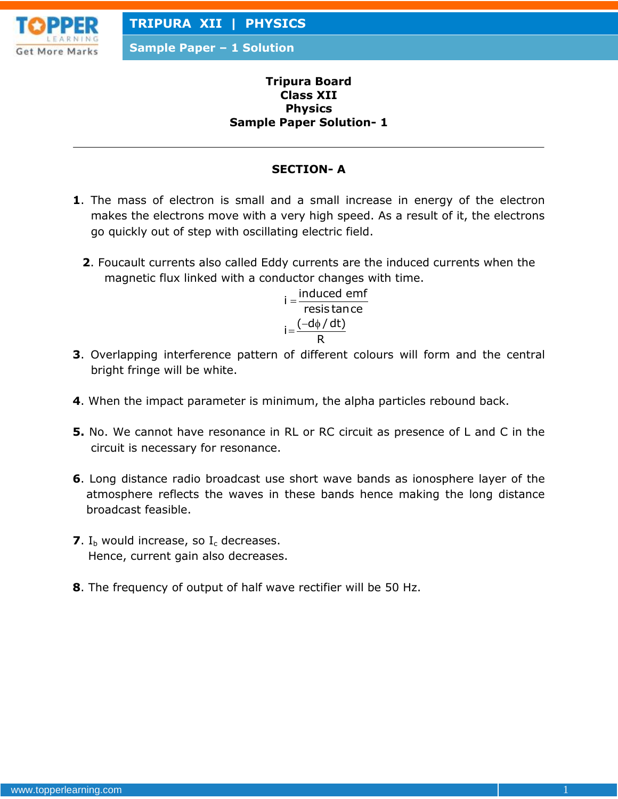

**Sample Paper – 1 Solution**

#### **Tripura Board Class XII Physics Sample Paper Solution- 1**

### **SECTION- A**

- **1**. The mass of electron is small and a small increase in energy of the electron makes the electrons move with a very high speed. As a result of it, the electrons go quickly out of step with oscillating electric field.
	- **2**. Foucault currents also called Eddy currents are the induced currents when the magnetic flux linked with a conductor changes with time.

 $i = \frac{induced}{i}$  $=\frac{m \alpha \alpha \alpha \alpha \alpha \beta \gamma \beta}{\text{resis tan ce}}$  $i = \frac{(-d\phi/dt)}{2}$ R  $=\frac{(-d\phi)}{2}$ 

- **3**. Overlapping interference pattern of different colours will form and the central bright fringe will be white.
- **4**. When the impact parameter is minimum, the alpha particles rebound back.
- **5.** No. We cannot have resonance in RL or RC circuit as presence of L and C in the circuit is necessary for resonance.
- **6**. Long distance radio broadcast use short wave bands as ionosphere layer of the atmosphere reflects the waves in these bands hence making the long distance broadcast feasible.
- **7**.  $I_b$  would increase, so  $I_c$  decreases. Hence, current gain also decreases.
- **8**. The frequency of output of half wave rectifier will be 50 Hz.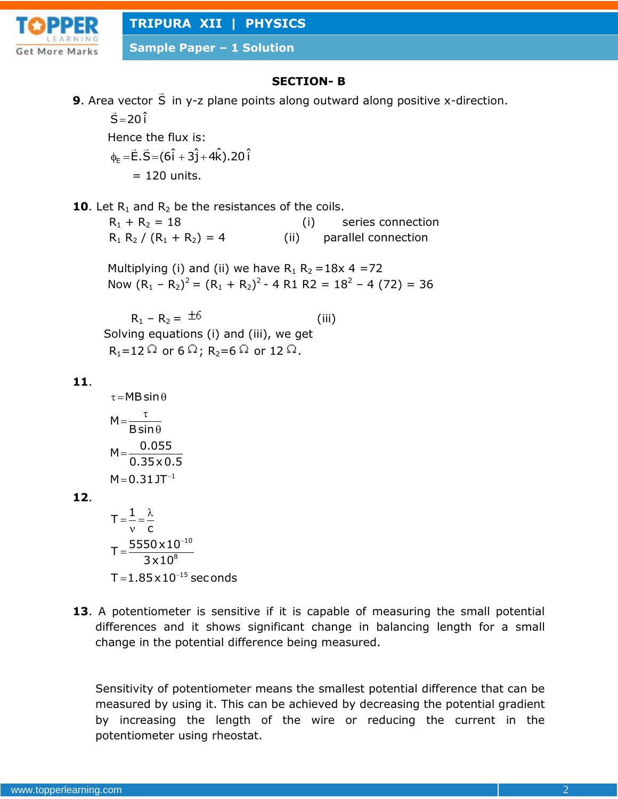

**Sample Paper – 1 Solution**

## **SECTION- B**

**9**. Area vector S in y-z plane points along outward along positive x-direction.  $\vec{S} = 20 \hat{i}$ 

Hence the flux is:

 $\phi_{E} = \vec{E} \cdot \vec{S} = (6\hat{i} + 3\hat{j} + 4\hat{k}) \cdot 20\hat{i}$  $= 120$  units.

**10**. Let  $R_1$  and  $R_2$  be the resistances of the coils.

 $R_1 + R_2 = 18$  (i) series connection  $R_1 R_2 / (R_1 + R_2) = 4$  (ii) parallel connection

Multiplying (i) and (ii) we have  $R_1 R_2 = 18x 4 = 72$ Now  $(R_1 - R_2)^2 = (R_1 + R_2)^2 - 4 R1 R2 = 18^2 - 4 (72) = 36$ 

 $R_1 - R_2 = \pm 6$  (iii) Solving equations (i) and (iii), we get  $R_1=12 \Omega$  or 6  $\Omega$ ;  $R_2=6 \Omega$  or 12  $\Omega$ .

### **11**.

$$
\tau = MB \sin \theta
$$
  
\n
$$
M = \frac{\tau}{B \sin \theta}
$$
  
\n
$$
M = \frac{0.055}{0.35 \times 0.5}
$$
  
\n
$$
M = 0.31 J T^{-1}
$$

**12**.

$$
T = \frac{1}{v} = \frac{\lambda}{c}
$$
  
\n
$$
T = \frac{5550 \times 10^{-10}}{3 \times 10^{8}}
$$
  
\n
$$
T = 1.85 \times 10^{-15} \text{ sec on}
$$

**13**. A potentiometer is sensitive if it is capable of measuring the small potential differences and it shows significant change in balancing length for a small change in the potential difference being measured.

Sensitivity of potentiometer means the smallest potential difference that can be measured by using it. This can be achieved by decreasing the potential gradient by increasing the length of the wire or reducing the current in the potentiometer using rheostat.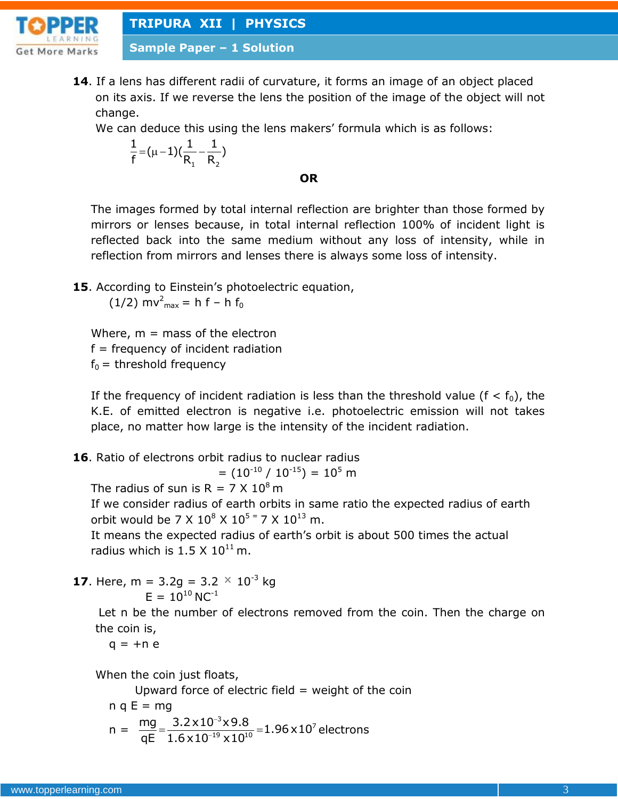

**Sample Paper – 1 Solution**

**14**. If a lens has different radii of curvature, it forms an image of an object placed on its axis. If we reverse the lens the position of the image of the object will not change.

We can deduce this using the lens makers' formula which is as follows:

$$
\frac{1}{f} = (\mu - 1)(\frac{1}{R_1} - \frac{1}{R_2})
$$

#### **OR**

The images formed by total internal reflection are brighter than those formed by mirrors or lenses because, in total internal reflection 100% of incident light is reflected back into the same medium without any loss of intensity, while in reflection from mirrors and lenses there is always some loss of intensity.

**15**. According to Einstein's photoelectric equation,

 $(1/2)$  mv<sup>2</sup><sub>max</sub> = h f – h f<sub>0</sub>

Where,  $m =$  mass of the electron

 $f = frequency of incident radiation$ 

 $f_0$  = threshold frequency

If the frequency of incident radiation is less than the threshold value ( $f < f_0$ ), the K.E. of emitted electron is negative i.e. photoelectric emission will not takes place, no matter how large is the intensity of the incident radiation.

**16**. Ratio of electrons orbit radius to nuclear radius

 $=$  (10<sup>-10</sup> / 10<sup>-15</sup>) = 10<sup>5</sup> m

The radius of sun is  $R = 7 \times 10^8$  m

If we consider radius of earth orbits in same ratio the expected radius of earth orbit would be 7 X  $10^8$  X  $10^5$  = 7 X  $10^{13}$  m.

It means the expected radius of earth's orbit is about 500 times the actual radius which is  $1.5 \times 10^{11}$  m.

**17.** Here, m =  $3.2g = 3.2 \times 10^{-3}$  kg  $E = 10^{10} N C^{-1}$ 

 Let n be the number of electrons removed from the coin. Then the charge on the coin is,

 $q = +n e$ 

When the coin just floats,

Upward force of electric field  $=$  weight of the coin

n q E = mg  
\n
$$
n = \frac{mg}{qE} = \frac{3.2 \times 10^{-3} \times 9.8}{1.6 \times 10^{-19} \times 10^{10}} = 1.96 \times 10^{7} \text{ electrons}
$$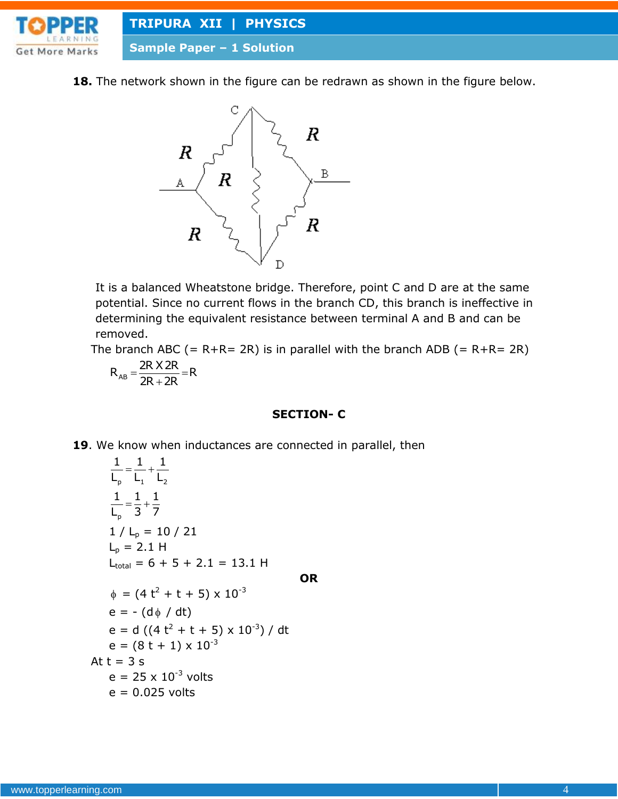

**18.** The network shown in the figure can be redrawn as shown in the figure below.



It is a balanced Wheatstone bridge. Therefore, point C and D are at the same potential. Since no current flows in the branch CD, this branch is ineffective in determining the equivalent resistance between terminal A and B and can be removed.

The branch ABC (=  $R+R= 2R$ ) is in parallel with the branch ADB (=  $R+R= 2R$ ) an yan

$$
R_{AB} = \frac{2R \times 2R}{2R + 2R} = R
$$

#### **SECTION- C**

19. We know when inductances are connected in parallel, then

$$
\frac{1}{L_{p}} = \frac{1}{L_{1}} + \frac{1}{L_{2}}
$$
\n
$$
\frac{1}{L_{p}} = \frac{1}{3} + \frac{1}{7}
$$
\n
$$
1 / L_{p} = 10 / 21
$$
\n
$$
L_{p} = 2.1 H
$$
\n
$$
L_{total} = 6 + 5 + 2.1 = 13.1 H
$$
\n
$$
\phi = (4 t^{2} + t + 5) \times 10^{-3}
$$
\n
$$
e = - (d\phi / dt)
$$
\n
$$
e = d ((4 t^{2} + t + 5) \times 10^{-3}) / dt
$$
\n
$$
e = (8 t + 1) \times 10^{-3}
$$
\nAt  $t = 3 s$   
\n
$$
e = 25 \times 10^{-3} \text{ volts}
$$
\n
$$
e = 0.025 \text{ volts}
$$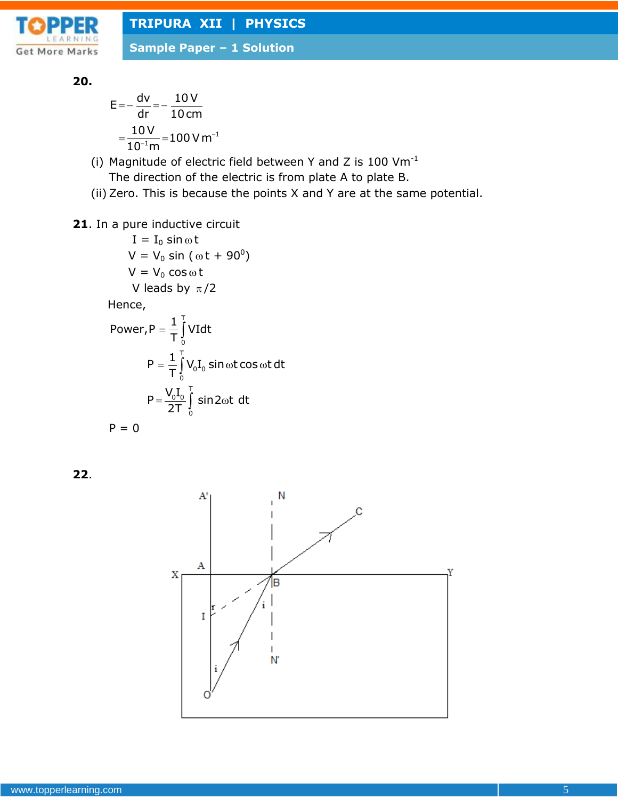

**Sample Paper – 1 Solution**

### **20.**

$$
E = -\frac{dv}{dr} = -\frac{10 V}{10 cm}
$$

$$
= \frac{10 V}{10^{-1} m} = 100 V m^{-1}
$$

(i) Magnitude of electric field between Y and Z is  $100 \text{ Vm}^{-1}$ The direction of the electric is from plate A to plate B.

(ii) Zero. This is because the points X and Y are at the same potential.

# 21. In a pure inductive circuit

 $I = I_0 \sin \omega t$  $V = V_0 \sin (\omega t + 90^\circ)$  $V = V_0 \cos \omega t$ V leads by  $\pi/2$ 

Hence,

Power, 
$$
P = \frac{1}{T} \int_{0}^{T} V I dt
$$
  
\n
$$
P = \frac{1}{T} \int_{0}^{T} V_{0} I_{0} \sin \omega t \cos \omega t dt
$$
\n
$$
P = \frac{V_{0} I_{0}}{2T} \int_{0}^{T} \sin 2\omega t dt
$$
\n
$$
P = 0
$$

**22**.

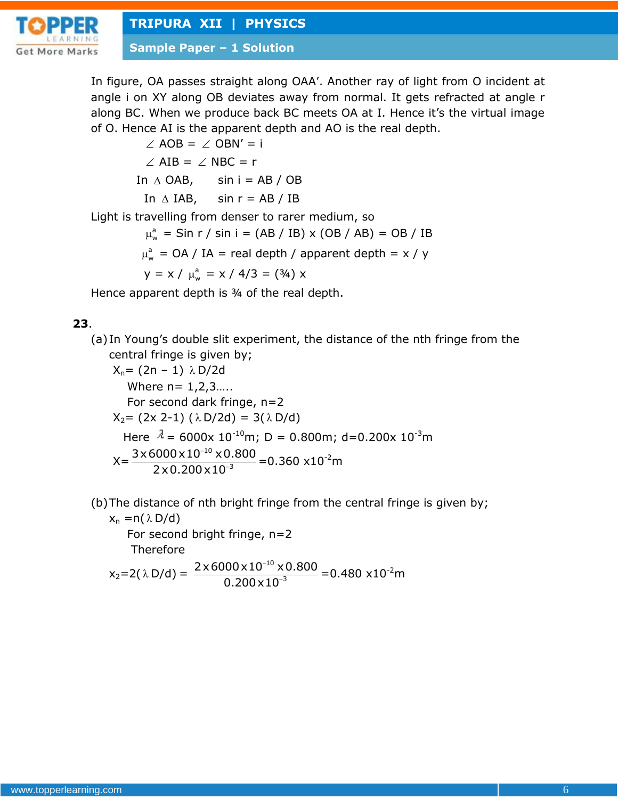

**Sample Paper – 1 Solution**

In figure, OA passes straight along OAA'. Another ray of light from O incident at angle i on XY along OB deviates away from normal. It gets refracted at angle r along BC. When we produce back BC meets OA at I. Hence it's the virtual image of O. Hence AI is the apparent depth and AO is the real depth.

 $\angle$  AOB =  $\angle$  OBN' = i  $\angle$  AIB =  $\angle$  NBC = r In  $\Delta$  $sin i = AB / OB$ In  $\triangle$  IAB, sin r = AB / IB

Light is travelling from denser to rarer medium, so

 $\mu_w^a$  = Sin r / sin i = (AB / IB) x (OB / AB) = OB / IB  $\mu_w^a$  = OA / IA = real depth / apparent depth = x / y  $y = x / \mu_w^a = x / 4/3 = (3/4) x$ 

Hence apparent depth is 34 of the real depth.

### **23**.

(a) In Young's double slit experiment, the distance of the nth fringe from the central fringe is given by;

 $X_n = (2n - 1) \lambda D/2d$ Where  $n = 1, 2, 3, \ldots$ . For second dark fringe, n=2  $X_2 = (2x 2-1) (\lambda D/2d) = 3(\lambda D/d)$ Here  $\lambda = 6000 \times 10^{-10}$ m; D = 0.800m; d=0.200x 10<sup>-3</sup>m  $X =$ 10 3  $3 \times 6000 \times 10^{-10} \times 0.800$  $\frac{2 \times 0.200 \times 10}{2 \times 0.200 \times 10}$  $\frac{10 \times 0.800}{1 \times 10^{-3}} = 0.360 \times 10^{-2} \text{m}$ 

(b)The distance of nth bright fringe from the central fringe is given by;  $x_n = n(\lambda D/d)$ 

 For second bright fringe, n=2 Therefore

 $x_2 = 2(\lambda D/d) =$ 10 3  $2 \times 6000 \times 10^{-10} \times 0.800$ 0.200 x10  $\frac{10 \times 0.800}{10^{-3}}$  = 0.480 x10<sup>-2</sup>m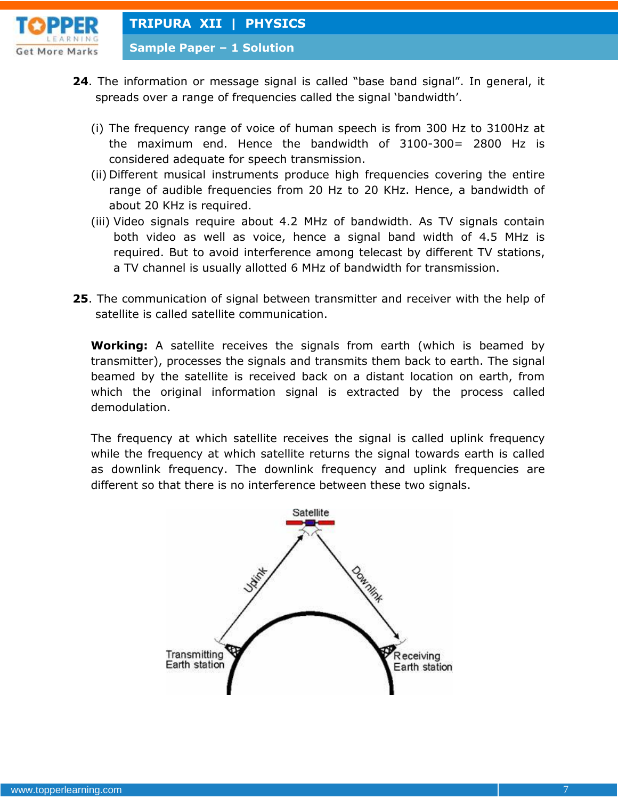

**Sample Paper – 1 Solution**

- **24**. The information or message signal is called "base band signal". In general, it spreads over a range of frequencies called the signal 'bandwidth'.
	- (i) The frequency range of voice of human speech is from 300 Hz to 3100Hz at the maximum end. Hence the bandwidth of 3100-300= 2800 Hz is considered adequate for speech transmission.
	- (ii) Different musical instruments produce high frequencies covering the entire range of audible frequencies from 20 Hz to 20 KHz. Hence, a bandwidth of about 20 KHz is required.
	- (iii) Video signals require about 4.2 MHz of bandwidth. As TV signals contain both video as well as voice, hence a signal band width of 4.5 MHz is required. But to avoid interference among telecast by different TV stations, a TV channel is usually allotted 6 MHz of bandwidth for transmission.
- **25**. The communication of signal between transmitter and receiver with the help of satellite is called satellite communication.

**Working:** A satellite receives the signals from earth (which is beamed by transmitter), processes the signals and transmits them back to earth. The signal beamed by the satellite is received back on a distant location on earth, from which the original information signal is extracted by the process called demodulation.

The frequency at which satellite receives the signal is called uplink frequency while the frequency at which satellite returns the signal towards earth is called as downlink frequency. The downlink frequency and uplink frequencies are different so that there is no interference between these two signals.

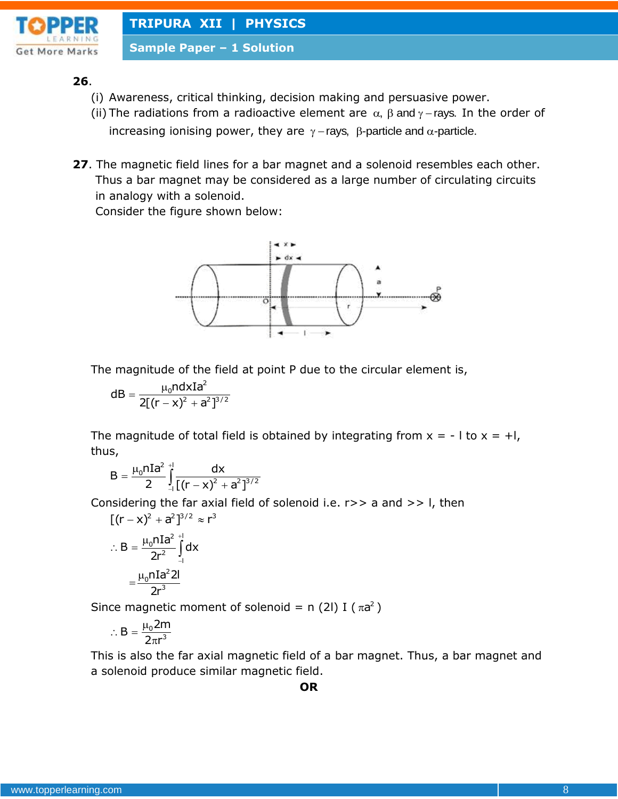

**Sample Paper – 1 Solution**

#### **26**.

- (i) Awareness, critical thinking, decision making and persuasive power.
- (ii) The radiations from a radioactive element are  $\alpha$ ,  $\beta$  and  $\gamma$  -rays. In the order of

increasing ionising power, they are  $\gamma$  -rays,  $\beta$ -particle and  $\alpha$ -particle.

**27**. The magnetic field lines for a bar magnet and a solenoid resembles each other. Thus a bar magnet may be considered as a large number of circulating circuits in analogy with a solenoid.

Consider the figure shown below:



The magnitude of the field at point P due to the circular element is,

$$
dB = \frac{\mu_0 n dx I a^2}{2[(r-x)^2 + a^2]^{3/2}}
$$

The magnitude of total field is obtained by integrating from  $x = -1$  to  $x = +1$ , thus,

$$
B = \frac{\mu_0 n I a^2}{2} \int_{-I}^{+} \frac{dx}{[(r - x)^2 + a^2]^{3/2}}
$$

Considering the far axial field of solenoid i.e. r>> a and >> l, then

$$
[(r - x)^{2} + a^{2}]^{3/2} \approx r^{3}
$$

$$
\therefore B = \frac{\mu_{0} n I a^{2}}{2r^{2}} \int_{-1}^{1} dx
$$

$$
= \frac{\mu_{0} n I a^{2} 2I}{2r^{3}}
$$

Since magnetic moment of solenoid = n (2l) I ( $\pi a^2$ )

$$
\therefore B = \frac{\mu_0 2m}{2\pi r^3}
$$

This is also the far axial magnetic field of a bar magnet. Thus, a bar magnet and a solenoid produce similar magnetic field.

**OR**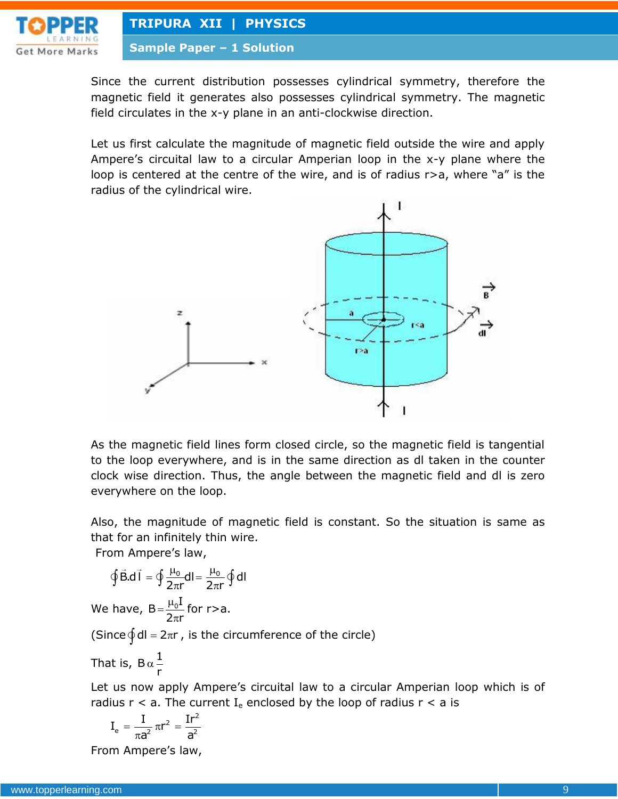

**Sample Paper – 1 Solution**

Since the current distribution possesses cylindrical symmetry, therefore the magnetic field it generates also possesses cylindrical symmetry. The magnetic field circulates in the x-y plane in an anti-clockwise direction.

Let us first calculate the magnitude of magnetic field outside the wire and apply Ampere's circuital law to a circular Amperian loop in the x-y plane where the loop is centered at the centre of the wire, and is of radius r>a, where "a" is the radius of the cylindrical wire.



As the magnetic field lines form closed circle, so the magnetic field is tangential to the loop everywhere, and is in the same direction as dl taken in the counter clock wise direction. Thus, the angle between the magnetic field and dl is zero everywhere on the loop.

Also, the magnitude of magnetic field is constant. So the situation is same as that for an infinitely thin wire.

From Ampere's law,

$$
\oint \vec{B} \cdot d\vec{l} = \oint \frac{\mu_0}{2\pi r} dl = \frac{\mu_0}{2\pi r} \oint dl
$$
  
We have,  $B = \frac{\mu_0 I}{2\pi r}$  for r > a.

(Since $\oint$ dl = 2 $\pi$ r, is the circumference of the circle)

That is, B $_\alpha$  $^{1}_$ r  $\alpha$ 

Let us now apply Ampere's circuital law to a circular Amperian loop which is of radius  $r < a$ . The current I<sub>e</sub> enclosed by the loop of radius  $r < a$  is

$$
I_{\mathrm{e}}=\frac{I}{\pi a^2}\,\pi r^2=\frac{Ir^2}{a^2}
$$

From Ampere's law,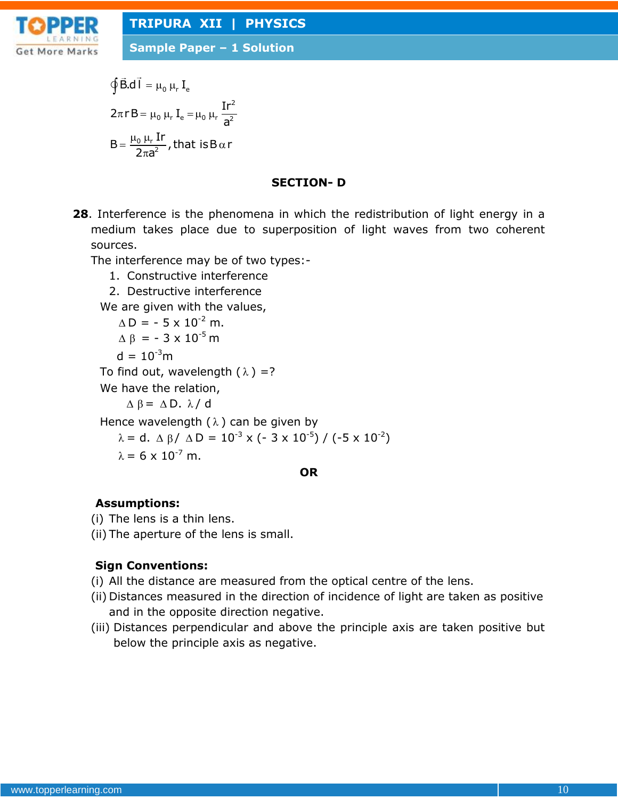

**Sample Paper – 1 Solution**

$$
\oint \vec{B} \cdot d\vec{l} = \mu_0 \mu_r I_e
$$
\n
$$
2\pi r B = \mu_0 \mu_r I_e = \mu_0 \mu_r \frac{Ir^2}{a^2}
$$
\n
$$
B = \frac{\mu_0 \mu_r Ir}{2\pi a^2}, \text{that is } B \alpha r
$$

### **SECTION- D**

**28**. Interference is the phenomena in which the redistribution of light energy in a medium takes place due to superposition of light waves from two coherent sources.

The interference may be of two types:-

1. Constructive interference

2. Destructive interference

We are given with the values,

 $\Delta D = -5 \times 10^{-2}$  m.  $\Delta \beta$  = - 3 x 10<sup>-5</sup> m  $d = 10^{-3}m$ To find out, wavelength  $(\lambda) = ?$  We have the relation,  $\Delta \beta = \Delta D. \lambda / d$ Hence wavelength  $(\lambda)$  can be given by  $\lambda = d$ .  $\Delta \beta / \Delta D = 10^{-3} \times (-3 \times 10^{-5}) / (-5 \times 10^{-2})$  $\lambda = 6 \times 10^{-7}$  m.

#### **OR**

## **Assumptions:**

(i) The lens is a thin lens.

(ii) The aperture of the lens is small.

## **Sign Conventions:**

- (i) All the distance are measured from the optical centre of the lens.
- (ii) Distances measured in the direction of incidence of light are taken as positive and in the opposite direction negative.
- (iii) Distances perpendicular and above the principle axis are taken positive but below the principle axis as negative.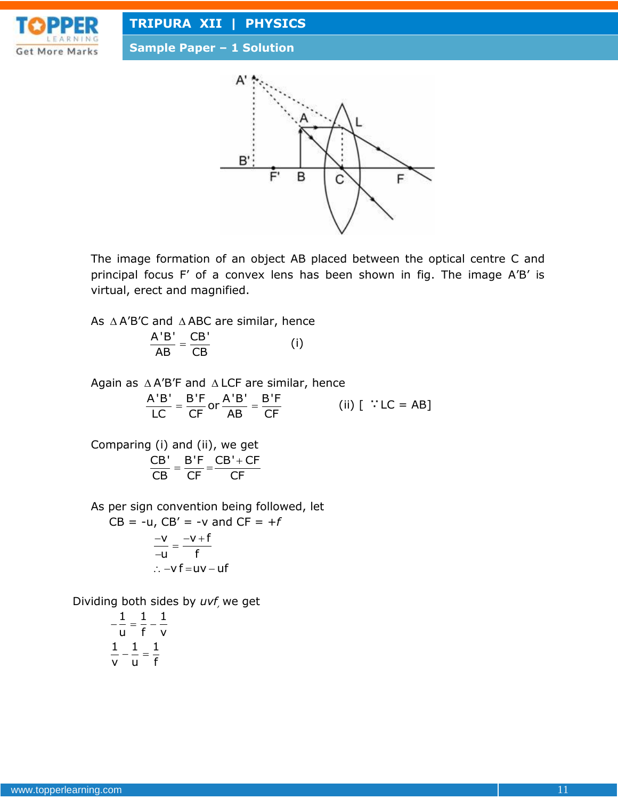

**Sample Paper – 1 Solution**



The image formation of an object AB placed between the optical centre C and principal focus F' of a convex lens has been shown in fig. The image A'B' is virtual, erect and magnified.

As  $\triangle$  A'B'C and  $\triangle$  ABC are similar, hence A'B' CB'  $=$ (i)

Again as  $\triangle$  A'B'F and  $\triangle$  LCF are similar, hence  $\frac{A'B'}{LC} = \frac{B'F}{CF}$  or  $\frac{A'B'}{AB} = \frac{B'F}{CF}$  $=\frac{B'F}{CF}$  or  $\frac{A'B'}{AP} = \frac{B'F}{CF}$  (ii) [  $\because$  LC = AB]

Comparing (i) and (ii), we get  
\n
$$
\frac{CB'}{CB} = \frac{B'F}{CF} = \frac{CB' + CF}{CF}
$$

AB CB

As per sign convention being followed, let  $CB = -u$ ,  $CB' = -v$  and  $CF = +f$ 

$$
\frac{-v}{-u} = \frac{-v + f}{f}
$$

$$
\therefore -v f = uv - uf
$$

Dividing both sides by *uvf,* we get

1 1 1 u f v 1 1 1 v u f  $-\frac{1}{2} = \frac{1}{2} -\frac{1}{2}$  =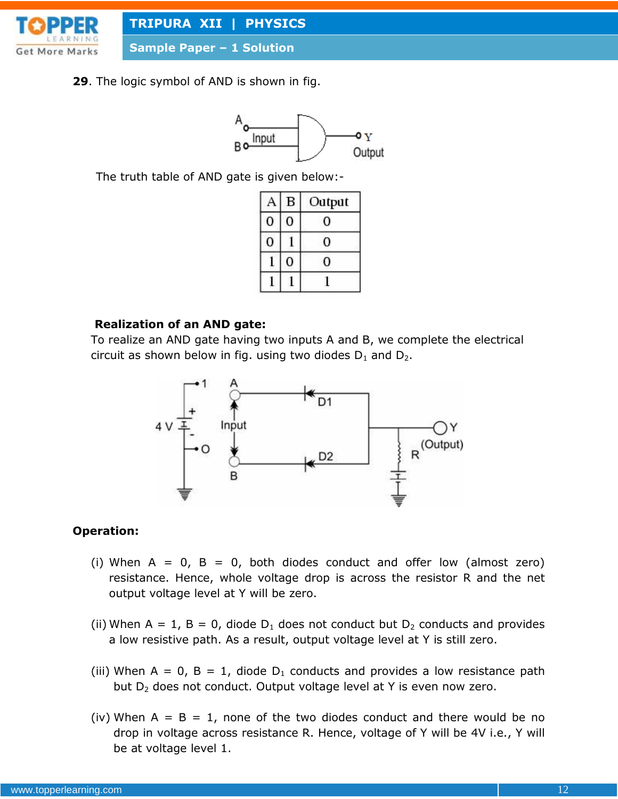

**Sample Paper – 1 Solution**

**29**. The logic symbol of AND is shown in fig.



The truth table of AND gate is given below:-

|   | B | Output |
|---|---|--------|
|   | 0 | Ω      |
| U |   | 0      |
|   | 0 | u      |
|   |   |        |

#### **Realization of an AND gate:**

To realize an AND gate having two inputs A and B, we complete the electrical circuit as shown below in fig. using two diodes  $D_1$  and  $D_2$ .



#### **Operation:**

- (i) When  $A = 0$ ,  $B = 0$ , both diodes conduct and offer low (almost zero) resistance. Hence, whole voltage drop is across the resistor R and the net output voltage level at Y will be zero.
- (ii) When A = 1, B = 0, diode  $D_1$  does not conduct but  $D_2$  conducts and provides a low resistive path. As a result, output voltage level at Y is still zero.
- (iii) When A = 0, B = 1, diode  $D_1$  conducts and provides a low resistance path but  $D_2$  does not conduct. Output voltage level at Y is even now zero.
- (iv) When  $A = B = 1$ , none of the two diodes conduct and there would be no drop in voltage across resistance R. Hence, voltage of Y will be 4V i.e., Y will be at voltage level 1.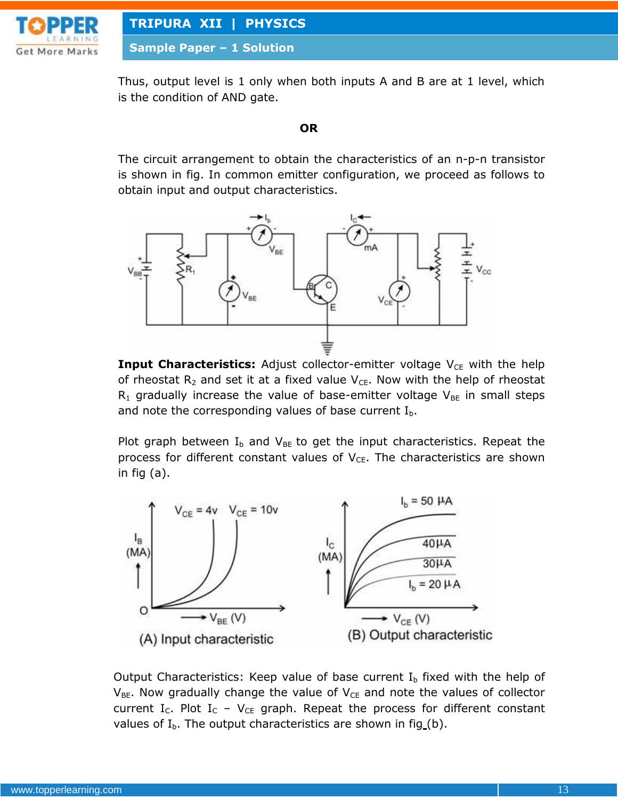

**Sample Paper – 1 Solution**

Thus, output level is 1 only when both inputs A and B are at 1 level, which is the condition of AND gate.

#### **OR**

The circuit arrangement to obtain the characteristics of an n-p-n transistor is shown in fig. In common emitter configuration, we proceed as follows to obtain input and output characteristics.



**Input Characteristics:** Adjust collector-emitter voltage V<sub>CE</sub> with the help of rheostat  $R_2$  and set it at a fixed value  $V_{CE}$ . Now with the help of rheostat  $R_1$  gradually increase the value of base-emitter voltage  $V_{BE}$  in small steps and note the corresponding values of base current  $I<sub>b</sub>$ .

Plot graph between  $I_b$  and  $V_{BE}$  to get the input characteristics. Repeat the process for different constant values of  $V_{CE}$ . The characteristics are shown in fig (a).



Output Characteristics: Keep value of base current  $I<sub>b</sub>$  fixed with the help of  $V_{BE}$ . Now gradually change the value of  $V_{CE}$  and note the values of collector current I<sub>C</sub>. Plot I<sub>C</sub> – V<sub>CE</sub> graph. Repeat the process for different constant values of  $I_b$ . The output characteristics are shown in fig  $(b)$ .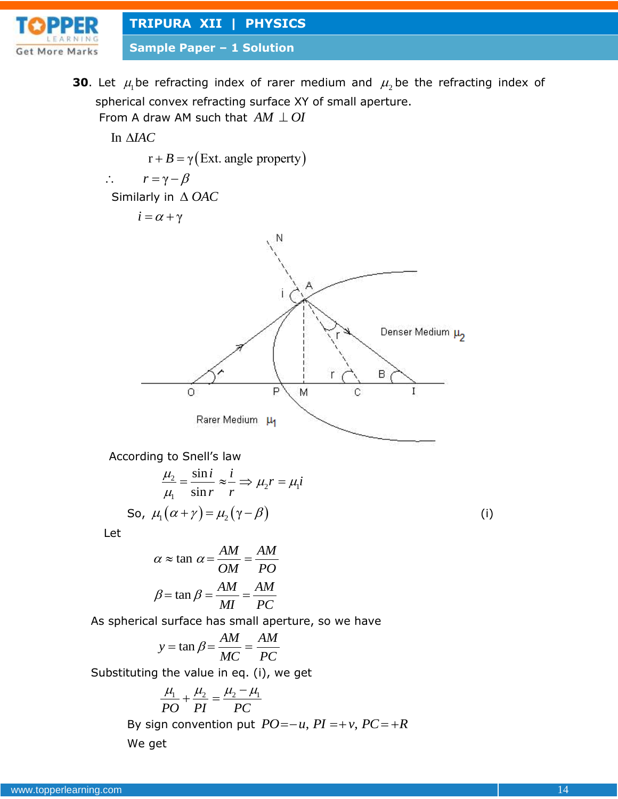

**Sample Paper – 1 Solution**

**30**. Let  $\mu_1$ be refracting index of rarer medium and  $\mu_2$ be the refracting index of spherical convex refracting surface XY of small aperture.

From A draw AM such that  $AM \perp OI$ 

In  $\triangle$ *IAC* 



According to Snell's law

$$
\frac{\mu_2}{\mu_1} = \frac{\sin i}{\sin r} \approx \frac{i}{r} \Rightarrow \mu_2 r = \mu_1 i
$$
  
So,  $\mu_1 (\alpha + \gamma) = \mu_2 (\gamma - \beta)$  (i)

Let

$$
\alpha \approx \tan \alpha = \frac{AM}{OM} = \frac{AM}{PO}
$$

$$
\beta = \tan \beta = \frac{AM}{MI} = \frac{AM}{PC}
$$

As spherical surface has small aperture, so we have<br> $\alpha = \tan \beta - \frac{AM}{A} - AM$ 

$$
y = \tan \beta = \frac{AM}{MC} = \frac{AM}{PC}
$$

Substituting the value in eq. (i), we get

$$
\frac{\mu_1}{PO} + \frac{\mu_2}{PI} = \frac{\mu_2 - \mu_1}{PC}
$$

 $PO$  *PI PC*<br>By sign convention put  $PO = -u$ ,  $PI = +v$ ,  $PC = +R$ We get